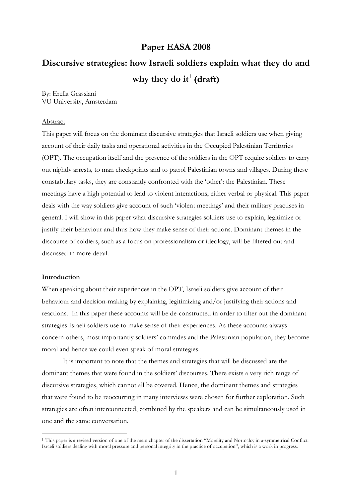## **Paper EASA 2008**

# **Discursive strategies: how Israeli soldiers explain what they do and why they do it[1](#page-0-0) (draft)**

By: Erella Grassiani VU University, Amsterdam

## Abstract

This paper will focus on the dominant discursive strategies that Israeli soldiers use when giving account of their daily tasks and operational activities in the Occupied Palestinian Territories (OPT). The occupation itself and the presence of the soldiers in the OPT require soldiers to carry out nightly arrests, to man checkpoints and to patrol Palestinian towns and villages. During these constabulary tasks, they are constantly confronted with the 'other': the Palestinian. These meetings have a high potential to lead to violent interactions, either verbal or physical. This paper deals with the way soldiers give account of such 'violent meetings' and their military practises in general. I will show in this paper what discursive strategies soldiers use to explain, legitimize or justify their behaviour and thus how they make sense of their actions. Dominant themes in the discourse of soldiers, such as a focus on professionalism or ideology, will be filtered out and discussed in more detail.

#### **Introduction**

<u>.</u>

When speaking about their experiences in the OPT, Israeli soldiers give account of their behaviour and decision-making by explaining, legitimizing and/or justifying their actions and reactions. In this paper these accounts will be de-constructed in order to filter out the dominant strategies Israeli soldiers use to make sense of their experiences. As these accounts always concern others, most importantly soldiers' comrades and the Palestinian population, they become moral and hence we could even speak of moral strategies.

It is important to note that the themes and strategies that will be discussed are the dominant themes that were found in the soldiers' discourses. There exists a very rich range of discursive strategies, which cannot all be covered. Hence, the dominant themes and strategies that were found to be reoccurring in many interviews were chosen for further exploration. Such strategies are often interconnected, combined by the speakers and can be simultaneously used in one and the same conversation.

<span id="page-0-0"></span><sup>1</sup> This paper is a revised version of one of the main chapter of the dissertation "Morality and Normalcy in a-symmetrical Conflict: Israeli soldiers dealing with moral pressure and personal integrity in the practice of occupation", which is a work in progress.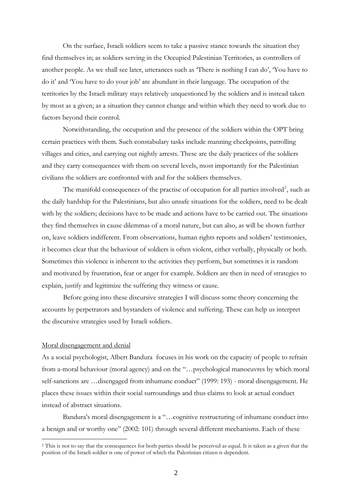On the surface, Israeli soldiers seem to take a passive stance towards the situation they find themselves in; as soldiers serving in the Occupied Palestinian Territories, as controllers of another people. As we shall see later, utterances such as 'There is nothing I can do', 'You have to do it' and 'You have to do your job' are abundant in their language. The occupation of the territories by the Israeli military stays relatively unquestioned by the soldiers and is instead taken by most as a given; as a situation they cannot change and within which they need to work due to factors beyond their control.

Notwithstanding, the occupation and the presence of the soldiers within the OPT bring certain practices with them. Such constabulary tasks include manning checkpoints, patrolling villages and cities, and carrying out nightly arrests. These are the daily practices of the soldiers and they carry consequences with them on several levels, most importantly for the Palestinian civilians the soldiers are confronted with and for the soldiers themselves.

The manifold consequences of the practise of occupation for all parties involved<sup>[2](#page-1-0)</sup>, such as the daily hardship for the Palestinians, but also unsafe situations for the soldiers, need to be dealt with by the soldiers; decisions have to be made and actions have to be carried out. The situations they find themselves in cause dilemmas of a moral nature, but can also, as will be shown further on, leave soldiers indifferent. From observations, human rights reports and soldiers' testimonies, it becomes clear that the behaviour of soldiers is often violent, either verbally, physically or both. Sometimes this violence is inherent to the activities they perform, but sometimes it is random and motivated by frustration, fear or anger for example. Soldiers are then in need of strategies to explain, justify and legitimize the suffering they witness or cause.

Before going into these discursive strategies I will discuss some theory concerning the accounts by perpetrators and bystanders of violence and suffering. These can help us interpret the discursive strategies used by Israeli soldiers.

#### Moral disengagement and denial

<u>.</u>

As a social psychologist, Albert Bandura focuses in his work on the capacity of people to refrain from a-moral behaviour (moral agency) and on the "…psychological manoeuvres by which moral self-sanctions are …disengaged from inhumane conduct" (1999: 193) - moral disengagement. He places these issues within their social surroundings and thus claims to look at actual conduct instead of abstract situations.

Bandura's moral disengagement is a "…cognitive restructuring of inhumane conduct into a benign and or worthy one" (2002: 101) through several different mechanisms. Each of these

<span id="page-1-0"></span><sup>&</sup>lt;sup>2</sup> This is not to say that the consequences for both parties should be perceived as equal. It is taken as a given that the position of the Israeli soldier is one of power of which the Palestinian citizen is dependent.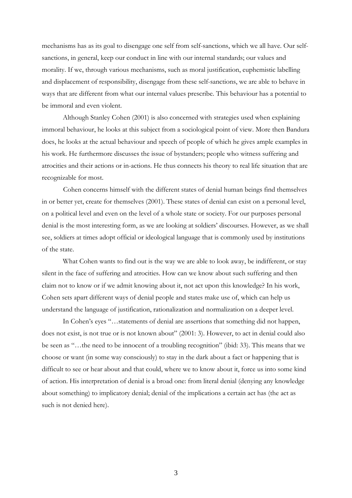mechanisms has as its goal to disengage one self from self-sanctions, which we all have. Our selfsanctions, in general, keep our conduct in line with our internal standards; our values and morality. If we, through various mechanisms, such as moral justification, euphemistic labelling and displacement of responsibility, disengage from these self-sanctions, we are able to behave in ways that are different from what our internal values prescribe. This behaviour has a potential to be immoral and even violent.

 Although Stanley Cohen (2001) is also concerned with strategies used when explaining immoral behaviour, he looks at this subject from a sociological point of view. More then Bandura does, he looks at the actual behaviour and speech of people of which he gives ample examples in his work. He furthermore discusses the issue of bystanders; people who witness suffering and atrocities and their actions or in-actions. He thus connects his theory to real life situation that are recognizable for most.

Cohen concerns himself with the different states of denial human beings find themselves in or better yet, create for themselves (2001). These states of denial can exist on a personal level, on a political level and even on the level of a whole state or society. For our purposes personal denial is the most interesting form, as we are looking at soldiers' discourses. However, as we shall see, soldiers at times adopt official or ideological language that is commonly used by institutions of the state.

 What Cohen wants to find out is the way we are able to look away, be indifferent, or stay silent in the face of suffering and atrocities. How can we know about such suffering and then claim not to know or if we admit knowing about it, not act upon this knowledge? In his work, Cohen sets apart different ways of denial people and states make use of, which can help us understand the language of justification, rationalization and normalization on a deeper level.

 In Cohen's eyes "…statements of denial are assertions that something did not happen, does not exist, is not true or is not known about" (2001: 3). However, to act in denial could also be seen as "…the need to be innocent of a troubling recognition" (ibid: 33). This means that we choose or want (in some way consciously) to stay in the dark about a fact or happening that is difficult to see or hear about and that could, where we to know about it, force us into some kind of action. His interpretation of denial is a broad one: from literal denial (denying any knowledge about something) to implicatory denial; denial of the implications a certain act has (the act as such is not denied here).

3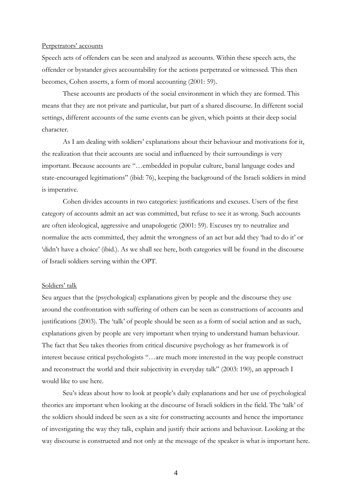#### Perpetrators' accounts

Speech acts of offenders can be seen and analyzed as accounts. Within these speech acts, the offender or bystander gives accountability for the actions perpetrated or witnessed. This then becomes, Cohen asserts, a form of moral accounting (2001: 59).

 These accounts are products of the social environment in which they are formed. This means that they are not private and particular, but part of a shared discourse. In different social settings, different accounts of the same events can be given, which points at their deep social character.

 As I am dealing with soldiers' explanations about their behaviour and motivations for it, the realization that their accounts are social and influenced by their surroundings is very important. Because accounts are "…embedded in popular culture, banal language codes and state-encouraged legitimations" (ibid: 76), keeping the background of the Israeli soldiers in mind is imperative.

 Cohen divides accounts in two categories: justifications and excuses. Users of the first category of accounts admit an act was committed, but refuse to see it as wrong. Such accounts are often ideological, aggressive and unapologetic (2001: 59). Excuses try to neutralize and normalize the acts committed, they admit the wrongness of an act but add they 'had to do it' or 'didn't have a choice' (ibid.). As we shall see here, both categories will be found in the discourse of Israeli soldiers serving within the OPT.

#### Soldiers' talk

Seu argues that the (psychological) explanations given by people and the discourse they use around the confrontation with suffering of others can be seen as constructions of accounts and justifications (2003). The 'talk' of people should be seen as a form of social action and as such, explanations given by people are very important when trying to understand human behaviour. The fact that Seu takes theories from critical discursive psychology as her framework is of interest because critical psychologists "…are much more interested in the way people construct and reconstruct the world and their subjectivity in everyday talk" (2003: 190), an approach I would like to use here.

 Seu's ideas about how to look at people's daily explanations and her use of psychological theories are important when looking at the discourse of Israeli soldiers in the field. The 'talk' of the soldiers should indeed be seen as a site for constructing accounts and hence the importance of investigating the way they talk, explain and justify their actions and behaviour. Looking at the way discourse is constructed and not only at the message of the speaker is what is important here.

4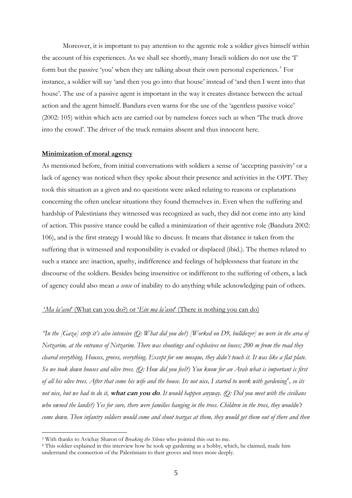Moreover, it is important to pay attention to the agentic role a soldier gives himself within the account of his experiences. As we shall see shortly, many Israeli soldiers do not use the 'I' form but the passive 'you' when they are talking about their own personal experiences.<sup>[3](#page-4-0)</sup> For instance, a soldier will say 'and then you go into that house' instead of 'and then I went into that house'. The use of a passive agent is important in the way it creates distance between the actual action and the agent himself. Bandura even warns for the use of the 'agentless passive voice' (2002: 105) within which acts are carried out by nameless forces such as when 'The truck drove into the crowd'. The driver of the truck remains absent and thus innocent here.

## **Minimization of moral agency**

As mentioned before, from initial conversations with soldiers a sense of 'accepting passivity' or a lack of agency was noticed when they spoke about their presence and activities in the OPT. They took this situation as a given and no questions were asked relating to reasons or explanations concerning the often unclear situations they found themselves in. Even when the suffering and hardship of Palestinians they witnessed was recognized as such, they did not come into any kind of action. This passive stance could be called a minimization of their agentive role (Bandura 2002: 106), and is the first strategy I would like to discuss. It means that distance is taken from the suffering that is witnessed and responsibility is evaded or displaced (ibid.). The themes related to such a stance are: inaction, apathy, indifference and feelings of helplessness that feature in the discourse of the soldiers. Besides being insensitive or indifferent to the suffering of others, a lack of agency could also mean *a sense* of inability to do anything while acknowledging pain of others.

### '*Ma la'asot*' (What can you do?) or '*Ein ma la'asot*' (There is nothing you can do)

*"In the [Gaza] strip it's also intensive (Q: What did you do?) [Worked on D9, bulldozer] we were in the area of Netzarim, at the entrance of Netzarim. There was shootings and explosives on buses; 200 m from the road they cleared everything. Houses, groves, everything. Except for one mosque, they didn't touch it. It was like a flat plate. So we took down houses and olive trees. (Q: How did you feel?) You know for an Arab what is important is first of all his olive trees. After that come his wife and the house. Its not nice, I started to work with gardening[4](#page-4-1) , so its not nice, but we had to do it,* **what can you do***. It would happen anyway. (Q: Did you meet with the civilians who owned the lands?) Yes for sure, there were families hanging in the trees. Children in the trees, they wouldn't come down. Then infantry soldiers would come and shoot teargas at them, they would get them out of there and then* 

<span id="page-4-1"></span><span id="page-4-0"></span><sup>3</sup> With thanks to Avichay Sharon of *Breaking the Silence* who pointed this out to me. 4 This soldier explained in this interview how he took up gardening as a hobby, which, he claimed, made him understand the connection of the Palestinians to their groves and trees more deeply.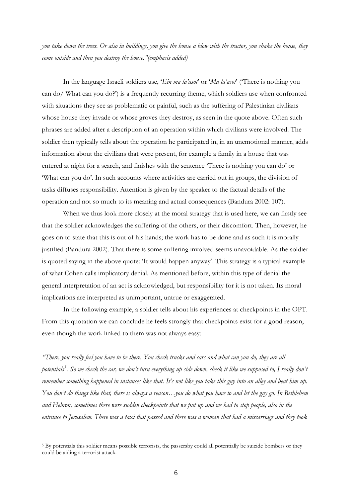*you take down the trees. Or also in buildings, you give the house a blow with the tractor, you shake the house, they come outside and then you destroy the house."(emphasis added)* 

In the language Israeli soldiers use, '*Ein ma la'asot*' or '*Ma la'asot*' ('There is nothing you can do/ What can you do?') is a frequently recurring theme, which soldiers use when confronted with situations they see as problematic or painful, such as the suffering of Palestinian civilians whose house they invade or whose groves they destroy, as seen in the quote above. Often such phrases are added after a description of an operation within which civilians were involved. The soldier then typically tells about the operation he participated in, in an unemotional manner, adds information about the civilians that were present, for example a family in a house that was entered at night for a search, and finishes with the sentence 'There is nothing you can do' or 'What can you do'. In such accounts where activities are carried out in groups, the division of tasks diffuses responsibility. Attention is given by the speaker to the factual details of the operation and not so much to its meaning and actual consequences (Bandura 2002: 107).

When we thus look more closely at the moral strategy that is used here, we can firstly see that the soldier acknowledges the suffering of the others, or their discomfort. Then, however, he goes on to state that this is out of his hands; the work has to be done and as such it is morally justified (Bandura 2002). That there is some suffering involved seems unavoidable. As the soldier is quoted saying in the above quote: 'It would happen anyway'. This strategy is a typical example of what Cohen calls implicatory denial. As mentioned before, within this type of denial the general interpretation of an act is acknowledged, but responsibility for it is not taken. Its moral implications are interpreted as unimportant, untrue or exaggerated.

In the following example, a soldier tells about his experiences at checkpoints in the OPT. From this quotation we can conclude he feels strongly that checkpoints exist for a good reason, even though the work linked to them was not always easy:

*"There, you really feel you have to be there. You check trucks and cars and what can you do, they are all potentials[5](#page-5-0) . So we check the car, we don't turn everything up side down, check it like we supposed to, I really don't remember something happened in instances like that. It's not like you take this guy into an alley and beat him up. You don't do things like that, there is always a reason…you do what you have to and let the guy go. In Bethlehem and Hebron, sometimes there were sudden checkpoints that we put up and we had to stop people, also in the entrance to Jerusalem. There was a taxi that passed and there was a woman that had a miscarriage and they took* 

<span id="page-5-0"></span><sup>5</sup> By potentials this soldier means possible terrorists, the passersby could all potentially be suicide bombers or they could be aiding a terrorist attack.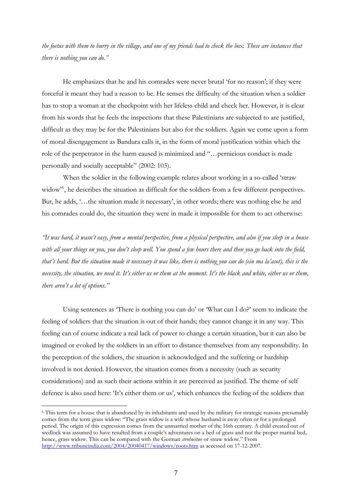*the foetus with them to burry in the village, and one of my friends had to check the box. These are instances that there is nothing you can do."*

 He emphasizes that he and his comrades were never brutal 'for no reason'; if they were forceful it meant they had a reason to be. He senses the difficulty of the situation when a soldier has to stop a woman at the checkpoint with her lifeless child and check her. However, it is clear from his words that he feels the inspections that these Palestinians are subjected to are justified, difficult as they may be for the Palestinians but also for the soldiers. Again we come upon a form of moral disengagement as Bandura calls it, in the form of moral justification within which the role of the perpetrator in the harm caused is minimized and "…pernicious conduct is made personally and socially acceptable" (2002: 103).

When the soldier in the following example relates about working in a so-called 'straw widow<sup>5[6](#page-6-0)</sup>, he describes the situation as difficult for the soldiers from a few different perspectives. But, he adds, '…the situation made it necessary', in other words; there was nothing else he and his comrades could do, the situation they were in made it impossible for them to act otherwise:

*"It was hard, it wasn't easy, from a mental perspective, from a physical perspective, and also if you sleep in a house with all your things on you, you don't sleep well. You spend a few hours there and then you go back into the field, that's hard. But the situation made it necessary it was like, there is nothing you can do (ein ma la'asot), this is the necessity, the situation, we need it. It's either us or them at the moment. It's the black and white, either us or them, there aren't a lot of options."* 

 Using sentences as 'There is nothing you can do' or 'What can I do?' seem to indicate the feeling of soldiers that the situation is out of their hands; they cannot change it in any way. This feeling can of course indicate a real lack of power to change a certain situation, but it can also be imagined or evoked by the soldiers in an effort to distance themselves from any responsibility. In the perception of the soldiers, the situation is acknowledged and the suffering or hardship involved is not denied. However, the situation comes from a necessity (such as security considerations) and as such their actions within it are perceived as justified. The theme of self defence is also used here: 'It's either them or us', which enhances the feeling of the soldiers that

<span id="page-6-0"></span><sup>6</sup> This term for a house that is abandoned by its inhabitants and used by the military for strategic reasons presumably comes from the term grass widow: "The grass widow is a wife whose husband is away often or for a prolonged period. The origin of this expression comes from the unmarried mother of the 16th century. A child created out of wedlock was assumed to have resulted from a couple's adventures on a bed of grass and not the proper marital bed, hence, grass widow. This can be compared with the German *strohwitwe* or straw widow." From <http://www.tribuneindia.com/2004/20040417/windows/roots.htm>as accessed on 17-12-2007.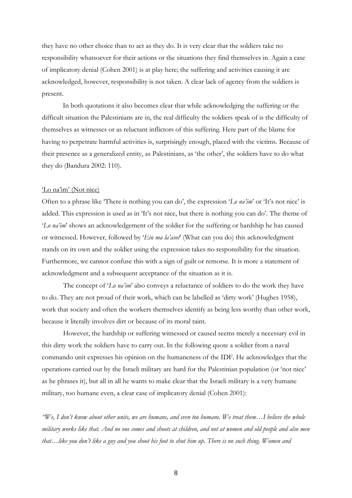they have no other choice than to act as they do. It is very clear that the soldiers take no responsibility whatsoever for their actions or the situations they find themselves in. Again a case of implicatory denial (Cohen 2001) is at play here; the suffering and activities causing it are acknowledged, however, responsibility is not taken. A clear lack of agency from the soldiers is present.

 In both quotations it also becomes clear that while acknowledging the suffering or the difficult situation the Palestinians are in, the real difficulty the soldiers speak of is the difficulty of themselves as witnesses or as reluctant inflictors of this suffering. Here part of the blame for having to perpetrate harmful activities is, surprisingly enough, placed with the victims. Because of their presence as a generalized entity, as Palestinians, as 'the other', the soldiers have to do what they do (Bandura 2002: 110).

#### 'Lo na'im' (Not nice)

Often to a phrase like 'There is nothing you can do', the expression '*Lo na'im*' or 'It's not nice' is added. This expression is used as in 'It's not nice, but there is nothing you can do'. The theme of '*Lo na'im*' shows an acknowledgement of the soldier for the suffering or hardship he has caused or witnessed. However, followed by '*Ein ma la'asot*' (What can you do) this acknowledgment stands on its own and the soldier using the expression takes no responsibility for the situation. Furthermore, we cannot confuse this with a sign of guilt or remorse. It is more a statement of acknowledgment and a subsequent acceptance of the situation as it is.

The concept of '*Lo na'im*' also conveys a reluctance of soldiers to do the work they have to do. They are not proud of their work, which can be labelled as 'dirty work' (Hughes 1958), work that society and often the workers themselves identify as being less worthy than other work, because it literally involves dirt or because of its moral taint.

However, the hardship or suffering witnessed or caused seems merely a necessary evil in this dirty work the soldiers have to carry out. In the following quote a soldier from a naval commando unit expresses his opinion on the humaneness of the IDF. He acknowledges that the operations carried out by the Israeli military are hard for the Palestinian population (or 'not nice' as he phrases it), but all in all he wants to make clear that the Israeli military is a very humane military, too humane even, a clear case of implicatory denial (Cohen 2001):

*"We, I don't know about other units, we are humane, and even too humane. We treat them…I believe the whole military works like that. And no one comes and shoots at children, and not at women and old people and also men that…like you don't like a guy and you shoot his foot to shut him up. There is no such thing. Women and*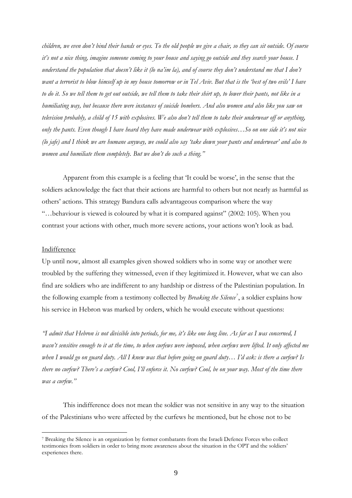*children, we even don't bind their hands or eyes. To the old people we give a chair, so they can sit outside. Of course it's not a nice thing, imagine someone coming to your house and saying go outside and they search your house. I understand the population that doesn't like it (lo na'im la), and of course they don't understand me that I don't want a terrorist to blow himself up in my house tomorrow or in Tel Aviv. But that is the 'best of two evils' I have to do it. So we tell them to get out outside, we tell them to take their shirt up, to lower their pants, not like in a humiliating way, but because there were instances of suicide bombers. And also women and also like you saw on television probably, a child of 15 with explosives. We also don't tell them to take their underwear off or anything, only the pants. Even though I have heard they have made underwear with explosives…So on one side it's not nice (lo jafe) and I think we are humane anyway, we could also say 'take down your pants and underwear' and also to women and humiliate them completely. But we don't do such a thing."* 

Apparent from this example is a feeling that 'It could be worse', in the sense that the soldiers acknowledge the fact that their actions are harmful to others but not nearly as harmful as others' actions. This strategy Bandura calls advantageous comparison where the way "…behaviour is viewed is coloured by what it is compared against" (2002: 105). When you contrast your actions with other, much more severe actions, your actions won't look as bad.

## Indifference

<u>.</u>

Up until now, almost all examples given showed soldiers who in some way or another were troubled by the suffering they witnessed, even if they legitimized it. However, what we can also find are soldiers who are indifferent to any hardship or distress of the Palestinian population. In the following example from a testimony collected by *Breaking the Silence[7](#page-8-0)* , a soldier explains how his service in Hebron was marked by orders, which he would execute without questions:

*"I admit that Hebron is not divisible into periods, for me, it's like one long line. As far as I was concerned, I wasn't sensitive enough to it at the time, to when curfews were imposed, when curfews were lifted. It only affected me when I would go on guard duty. All I knew was that before going on guard duty… I'd ask: is there a curfew? Is there no curfew? There's a curfew? Cool, I'll enforce it. No curfew? Cool, be on your way. Most of the time there was a curfew."* 

This indifference does not mean the soldier was not sensitive in any way to the situation of the Palestinians who were affected by the curfews he mentioned, but he chose not to be

<span id="page-8-0"></span><sup>7</sup> Breaking the Silence is an organization by former combatants from the Israeli Defence Forces who collect testimonies from soldiers in order to bring more awareness about the situation in the OPT and the soldiers' experiences there.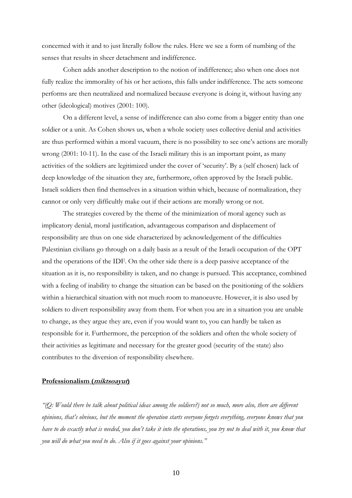concerned with it and to just literally follow the rules. Here we see a form of numbing of the senses that results in sheer detachment and indifference.

Cohen adds another description to the notion of indifference; also when one does not fully realize the immorality of his or her actions, this falls under indifference. The acts someone performs are then neutralized and normalized because everyone is doing it, without having any other (ideological) motives (2001: 100).

On a different level, a sense of indifference can also come from a bigger entity than one soldier or a unit. As Cohen shows us, when a whole society uses collective denial and activities are thus performed within a moral vacuum, there is no possibility to see one's actions are morally wrong (2001: 10-11). In the case of the Israeli military this is an important point, as many activities of the soldiers are legitimized under the cover of 'security'. By a (self chosen) lack of deep knowledge of the situation they are, furthermore, often approved by the Israeli public. Israeli soldiers then find themselves in a situation within which, because of normalization, they cannot or only very difficultly make out if their actions are morally wrong or not.

The strategies covered by the theme of the minimization of moral agency such as implicatory denial, moral justification, advantageous comparison and displacement of responsibility are thus on one side characterized by acknowledgement of the difficulties Palestinian civilians go through on a daily basis as a result of the Israeli occupation of the OPT and the operations of the IDF. On the other side there is a deep passive acceptance of the situation as it is, no responsibility is taken, and no change is pursued. This acceptance, combined with a feeling of inability to change the situation can be based on the positioning of the soldiers within a hierarchical situation with not much room to manoeuvre. However, it is also used by soldiers to divert responsibility away from them. For when you are in a situation you are unable to change, as they argue they are, even if you would want to, you can hardly be taken as responsible for it. Furthermore, the perception of the soldiers and often the whole society of their activities as legitimate and necessary for the greater good (security of the state) also contributes to the diversion of responsibility elsewhere.

#### **Professionalism (miktsoayut)**

*"(Q: Would there be talk about political ideas among the soldiers?) not so much, more also, there are different opinions, that's obvious, but the moment the operation starts everyone forgets everything, everyone knows that you have to do exactly what is needed, you don't take it into the operations, you try not to deal with it, you know that you will do what you need to do. Also if it goes against your opinions."*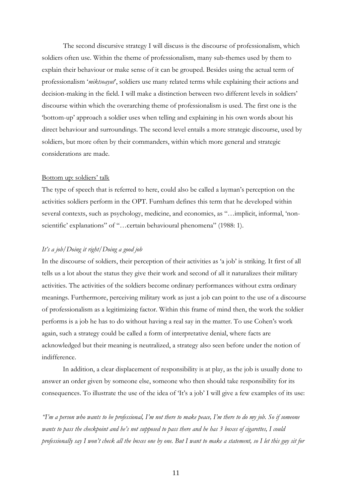The second discursive strategy I will discuss is the discourse of professionalism, which soldiers often use. Within the theme of professionalism, many sub-themes used by them to explain their behaviour or make sense of it can be grouped. Besides using the actual term of professionalism '*miktsoayut*', soldiers use many related terms while explaining their actions and decision-making in the field. I will make a distinction between two different levels in soldiers' discourse within which the overarching theme of professionalism is used. The first one is the 'bottom-up' approach a soldier uses when telling and explaining in his own words about his direct behaviour and surroundings. The second level entails a more strategic discourse, used by soldiers, but more often by their commanders, within which more general and strategic considerations are made.

## Bottom up: soldiers' talk

The type of speech that is referred to here, could also be called a layman's perception on the activities soldiers perform in the OPT. Furnham defines this term that he developed within several contexts, such as psychology, medicine, and economics, as "...implicit, informal, 'nonscientific' explanations" of "...certain behavioural phenomena" (1988: 1).

## *It's a job/Doing it right/Doing a good job*

In the discourse of soldiers, their perception of their activities as 'a job' is striking. It first of all tells us a lot about the status they give their work and second of all it naturalizes their military activities. The activities of the soldiers become ordinary performances without extra ordinary meanings. Furthermore, perceiving military work as just a job can point to the use of a discourse of professionalism as a legitimizing factor. Within this frame of mind then, the work the soldier performs is a job he has to do without having a real say in the matter. To use Cohen's work again, such a strategy could be called a form of interpretative denial, where facts are acknowledged but their meaning is neutralized, a strategy also seen before under the notion of indifference.

In addition, a clear displacement of responsibility is at play, as the job is usually done to answer an order given by someone else, someone who then should take responsibility for its consequences. To illustrate the use of the idea of 'It's a job' I will give a few examples of its use:

*"I'm a person who wants to be professional, I'm not there to make peace, I'm there to do my job. So if someone wants to pass the checkpoint and he's not supposed to pass there and he has 3 boxes of cigarettes, I could professionally say I won't check all the boxes one by one. But I want to make a statement, so I let this guy sit for*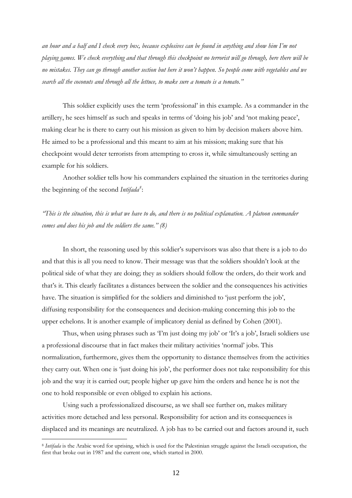*an hour and a half and I check every box, because explosives can be found in anything and show him I'm not playing games. We check everything and that through this checkpoint no terrorist will go through, here there will be no mistakes. They can go through another section but here it won't happen. So people come with vegetables and we search all the coconuts and through all the lettuce, to make sure a tomato is a tomato."*

 This soldier explicitly uses the term 'professional' in this example. As a commander in the artillery, he sees himself as such and speaks in terms of 'doing his job' and 'not making peace', making clear he is there to carry out his mission as given to him by decision makers above him. He aimed to be a professional and this meant to aim at his mission; making sure that his checkpoint would deter terrorists from attempting to cross it, while simultaneously setting an example for his soldiers.

Another soldier tells how his commanders explained the situation in the territories during the beginning of the second *Intifada[8](#page-11-0)* :

*"This is the situation, this is what we have to do, and there is no political explanation. A platoon commander comes and does his job and the soldiers the same." (8)* 

 In short, the reasoning used by this soldier's supervisors was also that there is a job to do and that this is all you need to know. Their message was that the soldiers shouldn't look at the political side of what they are doing; they as soldiers should follow the orders, do their work and that's it. This clearly facilitates a distances between the soldier and the consequences his activities have. The situation is simplified for the soldiers and diminished to 'just perform the job', diffusing responsibility for the consequences and decision-making concerning this job to the upper echelons. It is another example of implicatory denial as defined by Cohen (2001).

Thus, when using phrases such as 'I'm just doing my job' or 'It's a job', Israeli soldiers use a professional discourse that in fact makes their military activities 'normal' jobs. This normalization, furthermore, gives them the opportunity to distance themselves from the activities they carry out. When one is 'just doing his job', the performer does not take responsibility for this job and the way it is carried out; people higher up gave him the orders and hence he is not the one to hold responsible or even obliged to explain his actions.

 Using such a professionalized discourse, as we shall see further on, makes military activities more detached and less personal. Responsibility for action and its consequences is displaced and its meanings are neutralized. A job has to be carried out and factors around it, such

<span id="page-11-0"></span><sup>8</sup> *Intifada* is the Arabic word for uprising, which is used for the Palestinian struggle against the Israeli occupation, the first that broke out in 1987 and the current one, which started in 2000.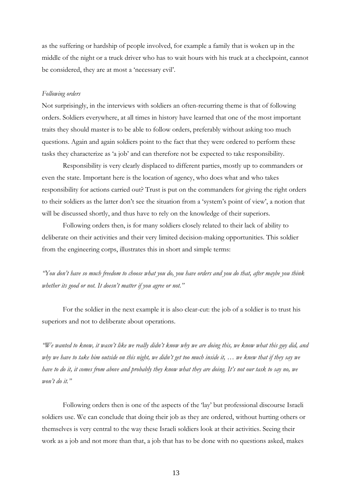as the suffering or hardship of people involved, for example a family that is woken up in the middle of the night or a truck driver who has to wait hours with his truck at a checkpoint, cannot be considered, they are at most a 'necessary evil'.

#### *Following orders*

Not surprisingly, in the interviews with soldiers an often-recurring theme is that of following orders. Soldiers everywhere, at all times in history have learned that one of the most important traits they should master is to be able to follow orders, preferably without asking too much questions. Again and again soldiers point to the fact that they were ordered to perform these tasks they characterize as 'a job' and can therefore not be expected to take responsibility.

Responsibility is very clearly displaced to different parties, mostly up to commanders or even the state. Important here is the location of agency, who does what and who takes responsibility for actions carried out? Trust is put on the commanders for giving the right orders to their soldiers as the latter don't see the situation from a 'system's point of view', a notion that will be discussed shortly, and thus have to rely on the knowledge of their superiors.

 Following orders then, is for many soldiers closely related to their lack of ability to deliberate on their activities and their very limited decision-making opportunities. This soldier from the engineering corps, illustrates this in short and simple terms:

*"You don't have so much freedom to choose what you do, you have orders and you do that, after maybe you think whether its good or not. It doesn't matter if you agree or not."* 

For the soldier in the next example it is also clear-cut: the job of a soldier is to trust his superiors and not to deliberate about operations.

*"We wanted to know, it wasn't like we really didn't know why we are doing this, we know what this guy did, and why we have to take him outside on this night, we didn't get too much inside it, … we knew that if they say we have to do it, it comes from above and probably they know what they are doing. It's not our task to say no, we won't do it."* 

 Following orders then is one of the aspects of the 'lay' but professional discourse Israeli soldiers use. We can conclude that doing their job as they are ordered, without hurting others or themselves is very central to the way these Israeli soldiers look at their activities. Seeing their work as a job and not more than that, a job that has to be done with no questions asked, makes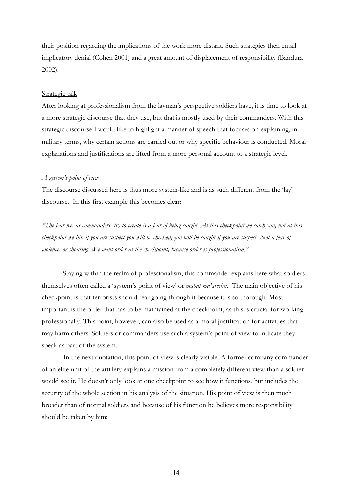their position regarding the implications of the work more distant. Such strategies then entail implicatory denial (Cohen 2001) and a great amount of displacement of responsibility (Bandura 2002).

## Strategic talk

After looking at professionalism from the layman's perspective soldiers have, it is time to look at a more strategic discourse that they use, but that is mostly used by their commanders. With this strategic discourse I would like to highlight a manner of speech that focuses on explaining, in military terms, why certain actions are carried out or why specific behaviour is conducted. Moral explanations and justifications are lifted from a more personal account to a strategic level.

## *A system's point of view*

The discourse discussed here is thus more system-like and is as such different from the 'lay' discourse. In this first example this becomes clear:

*"The fear we, as commanders, try to create is a fear of being caught. At this checkpoint we catch you, not at this checkpoint we hit, if you are suspect you will be checked, you will be caught if you are suspect. Not a fear of violence, or shouting. We want order at the checkpoint, because order is professionalism."* 

 Staying within the realm of professionalism, this commander explains here what soldiers themselves often called a 'system's point of view' or *mabat ma'arechti.* The main objective of his checkpoint is that terrorists should fear going through it because it is so thorough. Most important is the order that has to be maintained at the checkpoint, as this is crucial for working professionally. This point, however, can also be used as a moral justification for activities that may harm others. Soldiers or commanders use such a system's point of view to indicate they speak as part of the system.

In the next quotation, this point of view is clearly visible. A former company commander of an elite unit of the artillery explains a mission from a completely different view than a soldier would see it. He doesn't only look at one checkpoint to see how it functions, but includes the security of the whole section in his analysis of the situation. His point of view is then much broader than of normal soldiers and because of his function he believes more responsibility should be taken by him: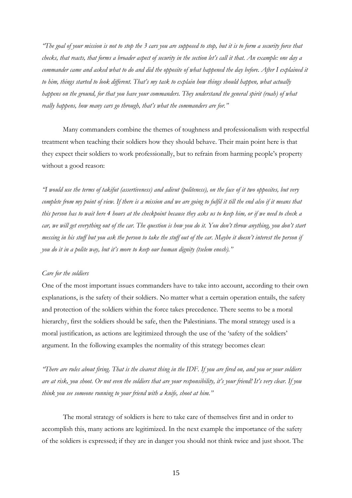*"The goal of your mission is not to stop the 3 cars you are supposed to stop, but it is to form a security force that checks, that reacts, that forms a broader aspect of security in the section let's call it that. An example: one day a commander came and asked what to do and did the opposite of what happened the day before. After I explained it to him, things started to look different. That's my task to explain how things should happen, what actually happens on the ground, for that you have your commanders. They understand the general spirit (ruah) of what really happens, how many cars go through, that's what the commanders are for."* 

 Many commanders combine the themes of toughness and professionalism with respectful treatment when teaching their soldiers how they should behave. Their main point here is that they expect their soldiers to work professionally, but to refrain from harming people's property without a good reason:

*"I would use the terms of takifut (assertiveness) and adivut (politeness), on the face of it two opposites, but very*  complete from my point of view. If there is a mission and we are going to fulfil it till the end also if it means that *this person has to wait here 4 hours at the checkpoint because they asks us to keep him, or if we need to check a car, we will get everything out of the car. The question is how you do it. You don't throw anything, you don't start messing in his stuff but you ask the person to take the stuff out of the car. Maybe it doesn't interest the person if you do it in a polite way, but it's more to keep our human dignity (tselem enosh)."* 

#### *Care for the soldiers*

One of the most important issues commanders have to take into account, according to their own explanations, is the safety of their soldiers. No matter what a certain operation entails, the safety and protection of the soldiers within the force takes precedence. There seems to be a moral hierarchy, first the soldiers should be safe, then the Palestinians. The moral strategy used is a moral justification, as actions are legitimized through the use of the 'safety of the soldiers' argument. In the following examples the normality of this strategy becomes clear:

*"There are rules about firing. That is the clearest thing in the IDF. If you are fired on, and you or your soldiers are at risk, you shoot. Or not even the soldiers that are your responsibility, it's your friend! It's very clear. If you think you see someone running to your friend with a knife, shoot at him."* 

The moral strategy of soldiers is here to take care of themselves first and in order to accomplish this, many actions are legitimized. In the next example the importance of the safety of the soldiers is expressed; if they are in danger you should not think twice and just shoot. The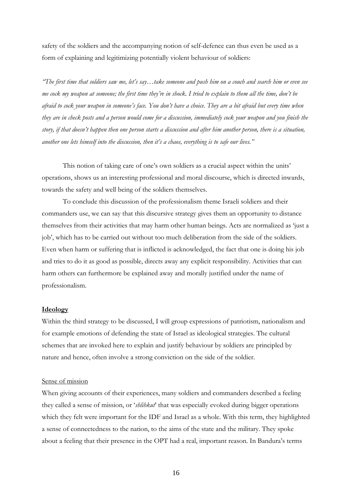safety of the soldiers and the accompanying notion of self-defence can thus even be used as a form of explaining and legitimizing potentially violent behaviour of soldiers:

*"The first time that soldiers saw me, let's say…take someone and push him on a couch and search him or even see me cock my weapon at someone; the first time they're in shock. I tried to explain to them all the time, don't be afraid to cock your weapon in someone's face. You don't have a choice. They are a bit afraid but every time when they are in check posts and a person would come for a discussion, immediately cock your weapon and you finish the story, if that doesn't happen then one person starts a discussion and after him another person, there is a situation, another one lets himself into the discussion, then it's a chaos, everything is to safe our lives."* 

This notion of taking care of one's own soldiers as a crucial aspect within the units' operations, shows us an interesting professional and moral discourse, which is directed inwards, towards the safety and well being of the soldiers themselves.

 To conclude this discussion of the professionalism theme Israeli soldiers and their commanders use, we can say that this discursive strategy gives them an opportunity to distance themselves from their activities that may harm other human beings. Acts are normalized as 'just a job', which has to be carried out without too much deliberation from the side of the soldiers. Even when harm or suffering that is inflicted is acknowledged, the fact that one is doing his job and tries to do it as good as possible, directs away any explicit responsibility. Activities that can harm others can furthermore be explained away and morally justified under the name of professionalism.

## **Ideology**

Within the third strategy to be discussed, I will group expressions of patriotism, nationalism and for example emotions of defending the state of Israel as ideological strategies. The cultural schemes that are invoked here to explain and justify behaviour by soldiers are principled by nature and hence, often involve a strong conviction on the side of the soldier.

#### Sense of mission

When giving accounts of their experiences, many soldiers and commanders described a feeling they called a sense of mission, or '*shlihkut*' that was especially evoked during bigger operations which they felt were important for the IDF and Israel as a whole. With this term, they highlighted a sense of connectedness to the nation, to the aims of the state and the military. They spoke about a feeling that their presence in the OPT had a real, important reason. In Bandura's terms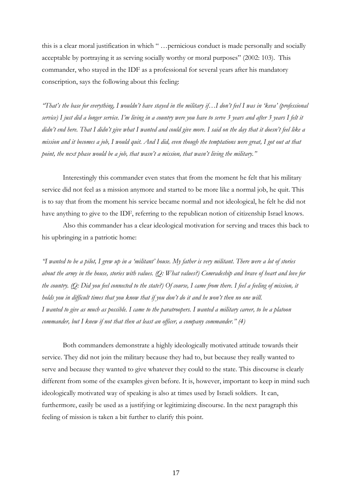this is a clear moral justification in which " …pernicious conduct is made personally and socially acceptable by portraying it as serving socially worthy or moral purposes" (2002: 103). This commander, who stayed in the IDF as a professional for several years after his mandatory conscription, says the following about this feeling:

*"That's the base for everything, I wouldn't have stayed in the military if…I don't feel I was in 'keva' (professional service) I just did a longer service. I'm living in a country were you have to serve 3 years and after 3 years I felt it didn't end here. That I didn't give what I wanted and could give more. I said on the day that it doesn't feel like a mission and it becomes a job, I would quit. And I did, even though the temptations were great, I got out at that point, the next phase would be a job, that wasn't a mission, that wasn't living the military."* 

 Interestingly this commander even states that from the moment he felt that his military service did not feel as a mission anymore and started to be more like a normal job, he quit. This is to say that from the moment his service became normal and not ideological, he felt he did not have anything to give to the IDF, referring to the republican notion of citizenship Israel knows.

 Also this commander has a clear ideological motivation for serving and traces this back to his upbringing in a patriotic home:

*"I wanted to be a pilot, I grew up in a 'militant' house. My father is very militant. There were a lot of stories about the army in the house, stories with values. (Q: What values?) Comradeship and brave of heart and love for the country. (Q: Did you feel connected to the state?) Of course, I came from there. I feel a feeling of mission, it holds you in difficult times that you know that if you don't do it and he won't then no one will. I wanted to give as much as possible. I came to the paratroopers. I wanted a military career, to be a platoon commander, but I knew if not that then at least an officer, a company commander." (4)* 

Both commanders demonstrate a highly ideologically motivated attitude towards their service. They did not join the military because they had to, but because they really wanted to serve and because they wanted to give whatever they could to the state. This discourse is clearly different from some of the examples given before. It is, however, important to keep in mind such ideologically motivated way of speaking is also at times used by Israeli soldiers. It can, furthermore, easily be used as a justifying or legitimizing discourse. In the next paragraph this feeling of mission is taken a bit further to clarify this point.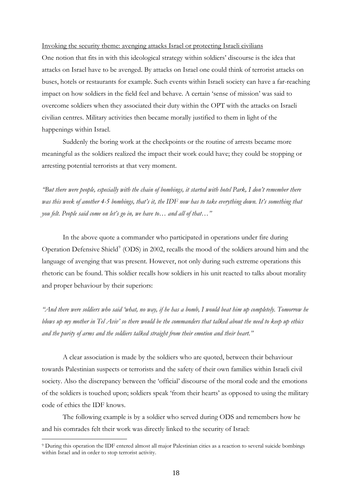Invoking the security theme: avenging attacks Israel or protecting Israeli civilians One notion that fits in with this ideological strategy within soldiers' discourse is the idea that attacks on Israel have to be avenged. By attacks on Israel one could think of terrorist attacks on buses, hotels or restaurants for example. Such events within Israeli society can have a far-reaching impact on how soldiers in the field feel and behave. A certain 'sense of mission' was said to overcome soldiers when they associated their duty within the OPT with the attacks on Israeli civilian centres. Military activities then became morally justified to them in light of the happenings within Israel.

 Suddenly the boring work at the checkpoints or the routine of arrests became more meaningful as the soldiers realized the impact their work could have; they could be stopping or arresting potential terrorists at that very moment.

*"But there were people, especially with the chain of bombings, it started with hotel Park, I don't remember there was this week of another 4-5 bombings, that's it, the IDF now has to take everything down. It's something that you felt. People said come on let's go in, we have to… and all of that…"* 

 In the above quote a commander who participated in operations under fire during Operation Defensive Shield<sup>[9](#page-17-0)</sup> (ODS) in 2002, recalls the mood of the soldiers around him and the language of avenging that was present. However, not only during such extreme operations this rhetoric can be found. This soldier recalls how soldiers in his unit reacted to talks about morality and proper behaviour by their superiors:

*"And there were soldiers who said 'what, no way, if he has a bomb, I would beat him up completely. Tomorrow he blows up my mother in Tel Aviv' so there would be the commanders that talked about the need to keep up ethics and the purity of arms and the soldiers talked straight from their emotion and their heart."* 

A clear association is made by the soldiers who are quoted, between their behaviour towards Palestinian suspects or terrorists and the safety of their own families within Israeli civil society. Also the discrepancy between the 'official' discourse of the moral code and the emotions of the soldiers is touched upon; soldiers speak 'from their hearts' as opposed to using the military code of ethics the IDF knows.

The following example is by a soldier who served during ODS and remembers how he and his comrades felt their work was directly linked to the security of Israel:

<span id="page-17-0"></span><sup>9</sup> During this operation the IDF entered almost all major Palestinian cities as a reaction to several suicide bombings within Israel and in order to stop terrorist activity.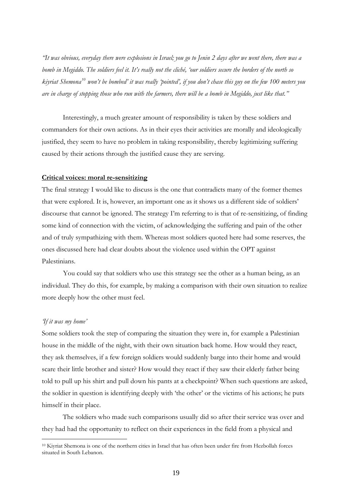*"It was obvious, everyday there were explosions in Israel; you go to Jenin 2 days after we went there, there was a bomb in Megiddo. The soldiers feel it. It's really not the cliché, 'our soldiers secure the borders of the north so kiyriat Shemona[10](#page-18-0) won't be bombed' it was really 'pointed', if you don't chase this guy on the few 100 meters you are in charge of stopping those who run with the farmers, there will be a bomb in Megiddo, just like that."* 

 Interestingly, a much greater amount of responsibility is taken by these soldiers and commanders for their own actions. As in their eyes their activities are morally and ideologically justified, they seem to have no problem in taking responsibility, thereby legitimizing suffering caused by their actions through the justified cause they are serving.

## **Critical voices: moral re-sensitizing**

The final strategy I would like to discuss is the one that contradicts many of the former themes that were explored. It is, however, an important one as it shows us a different side of soldiers' discourse that cannot be ignored. The strategy I'm referring to is that of re-sensitizing, of finding some kind of connection with the victim, of acknowledging the suffering and pain of the other and of truly sympathizing with them. Whereas most soldiers quoted here had some reserves, the ones discussed here had clear doubts about the violence used within the OPT against Palestinians.

You could say that soldiers who use this strategy see the other as a human being, as an individual. They do this, for example, by making a comparison with their own situation to realize more deeply how the other must feel.

## *'If it was my home'*

<u>.</u>

Some soldiers took the step of comparing the situation they were in, for example a Palestinian house in the middle of the night, with their own situation back home. How would they react, they ask themselves, if a few foreign soldiers would suddenly barge into their home and would scare their little brother and sister? How would they react if they saw their elderly father being told to pull up his shirt and pull down his pants at a checkpoint? When such questions are asked, the soldier in question is identifying deeply with 'the other' or the victims of his actions; he puts himself in their place.

 The soldiers who made such comparisons usually did so after their service was over and they had had the opportunity to reflect on their experiences in the field from a physical and

<span id="page-18-0"></span><sup>&</sup>lt;sup>10</sup> Kiyriat Shemona is one of the northern cities in Israel that has often been under fire from Hezbollah forces situated in South Lebanon.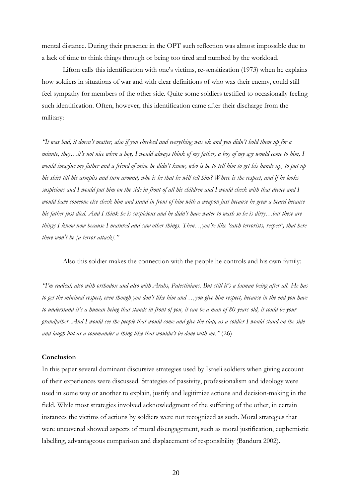mental distance. During their presence in the OPT such reflection was almost impossible due to a lack of time to think things through or being too tired and numbed by the workload.

 Lifton calls this identification with one's victims, re-sensitization (1973) when he explains how soldiers in situations of war and with clear definitions of who was their enemy, could still feel sympathy for members of the other side. Quite some soldiers testified to occasionally feeling such identification. Often, however, this identification came after their discharge from the military:

*"It was bad, it doesn't matter, also if you checked and everything was ok and you didn't hold them up for a minute, they…it's not nice when a boy, I would always think of my father, a boy of my age would come to him, I would imagine my father and a friend of mine he didn't know, who is he to tell him to get his hands up, to put up his shirt till his armpits and turn around, who is he that he will tell him? Where is the respect, and if he looks suspicious and I would put him on the side in front of all his children and I would check with that device and I would have someone else check him and stand in front of him with a weapon just because he grew a beard because his father just died. And I think he is suspicious and he didn't have water to wash so he is dirty…but these are things I know now because I matured and saw other things. Then…you're like 'catch terrorists, respect', that here there won't be [a terror attack]."* 

Also this soldier makes the connection with the people he controls and his own family:

*"I'm radical, also with orthodox and also with Arabs, Palestinians. But still it's a human being after all. He has to get the minimal respect, even though you don't like him and …you give him respect, because in the end you have to understand it's a human being that stands in front of you, it can be a man of 80 years old, it could be your grandfather. And I would see the people that would come and give the slap, as a soldier I would stand on the side and laugh but as a commander a thing like that wouldn't be done with me."* (26)

#### **Conclusion**

In this paper several dominant discursive strategies used by Israeli soldiers when giving account of their experiences were discussed. Strategies of passivity, professionalism and ideology were used in some way or another to explain, justify and legitimize actions and decision-making in the field. While most strategies involved acknowledgment of the suffering of the other, in certain instances the victims of actions by soldiers were not recognized as such. Moral strategies that were uncovered showed aspects of moral disengagement, such as moral justification, euphemistic labelling, advantageous comparison and displacement of responsibility (Bandura 2002).